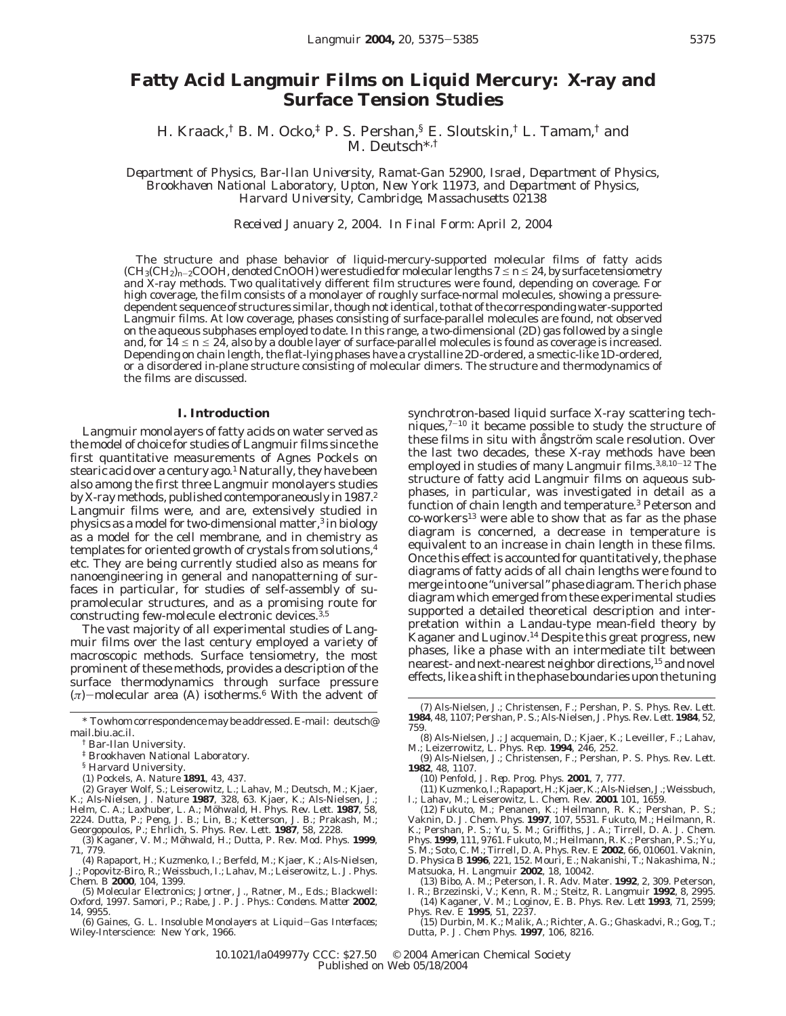# **Fatty Acid Langmuir Films on Liquid Mercury: X-ray and Surface Tension Studies**

H. Kraack,† B. M. Ocko,‡ P. S. Pershan,§ E. Sloutskin,† L. Tamam,† and M. Deutsch\*,†

*Department of Physics, Bar-Ilan University, Ramat-Gan 52900, Israel, Department of Physics, Brookhaven National Laboratory, Upton, New York 11973, and Department of Physics, Harvard University, Cambridge, Massachusetts 02138*

*Received January 2, 2004. In Final Form: April 2, 2004*

The structure and phase behavior of liquid-mercury-supported molecular films of fatty acids  $(CH_3(CH_2)<sub>n-2</sub>COOH$ , denoted C*n*OOH) were studied for molecular lengths  $7 \le n \le 24$ , by surface tensiometry and X-ray methods. Two qualitatively different film structures were found, depending on coverage. For high coverage, the film consists of a monolayer of roughly surface-normal molecules, showing a pressuredependent sequence of structures similar, though not identical, to that of the corresponding water-supported Langmuir films. At low coverage, phases consisting of surface-parallel molecules are found, not observed on the aqueous subphases employed to date. In this range, a two-dimensional (2D) gas followed by a single and, for  $14 \le n \le 24$ , also by a double layer of surface-parallel molecules is found as coverage is increased. Depending on chain length, the flat-lying phases have a crystalline 2D-ordered, a smectic-like 1D-ordered, or a disordered in-plane structure consisting of molecular dimers. The structure and thermodynamics of the films are discussed.

## **I. Introduction**

Langmuir monolayers of fatty acids on water served as the model of choice for studies of Langmuir films since the first quantitative measurements of Agnes Pockels on stearic acid over a century ago.<sup>1</sup> Naturally, they have been also among the first three Langmuir monolayers studies by X-ray methods, published contemporaneously in 1987.<sup>2</sup> Langmuir films were, and are, extensively studied in physics as a model for two-dimensional matter,3 in biology as a model for the cell membrane, and in chemistry as templates for oriented growth of crystals from solutions,4 etc. They are being currently studied also as means for nanoengineering in general and nanopatterning of surfaces in particular, for studies of self-assembly of supramolecular structures, and as a promising route for constructing few-molecule electronic devices.3,5

The vast majority of all experimental studies of Langmuir films over the last century employed a variety of macroscopic methods. Surface tensiometry, the most prominent of these methods, provides a description of the surface thermodynamics through surface pressure (*π*)-molecular area (*A*) isotherms.6 With the advent of

- § Harvard University.
- (1) Pockels, A. *Nature* **1891**, *43*, 437.

(2) Grayer Wolf, S.; Leiserowitz, L.; Lahav, M.; Deutsch, M.; Kjaer, K.; Als-Nielsen, J. *Nature* **1987**, *328*, 63. Kjaer, K.; Als-Nielsen, J.; Helm, C. A.; Laxhuber, L. A.; Möhwald, H. *Phys. Rev. Lett.* **1987**, *58,*<br>2224. Dutta, P.; Peng, J. B.; Lin, B.; Ketterson, J. B.; Prakash, M.;<br>Georgopoulos, P.; Ehrlich, S. *Phys. Rev. Lett.* **1987**, *58*, 2228.

- (3) Kaganer, V. M.; Möhwald, H.; Dutta, P. *Rev. Mod. Phys.* 1999, *71*, 779.
- (4) Rapaport, H.; Kuzmenko, I.; Berfeld, M.; Kjaer, K.; Als-Nielsen, J.; Popovitz-Biro, R.; Weissbuch, I.; Lahav, M.; Leiserowitz, L. *J. Phys. Chem. B* **2000**, *104*, 1399.
- (5) *Molecular Electronics*; Jortner, J., Ratner, M., Eds.; Blackwell: Oxford, 1997. Samori, P.; Rabe, J. P. *J. Phys.*: *Condens. Matter* **2002**, *14*, 9955.

(6) Gaines, G. L. *Insoluble Monolayers at Liquid*-*Gas Interfaces*; Wiley-Interscience: New York, 1966.

synchrotron-based liquid surface X-ray scattering techniques,<sup> $7-10$ </sup> it became possible to study the structure of these films in situ with ångström scale resolution. Over the last two decades, these X-ray methods have been employed in studies of many Langmuir films.<sup>3,8,10-12</sup> The structure of fatty acid Langmuir films on aqueous subphases, in particular, was investigated in detail as a function of chain length and temperature.3 Peterson and  $co\text{-}works<sup>13</sup>$  were able to show that as far as the phase diagram is concerned, a decrease in temperature is equivalent to an increase in chain length in these films. Once this effect is accounted for quantitatively, the phase diagrams of fatty acids of all chain lengths were found to merge into one "universal" phase diagram. The rich phase diagram which emerged from these experimental studies supported a detailed theoretical description and interpretation within a Landau-type mean-field theory by Kaganer and Luginov.14 Despite this great progress, new phases, like a phase with an intermediate tilt between nearest- and next-nearest neighbor directions,15 and novel effects, like a shift in the phase boundaries upon the tuning

(12) Fukuto, M.; Penanen, K.; Heilmann, R. K.; Pershan, P. S.; Vaknin, D. *J. Chem. Phys.* **1997**, *107*, 5531. Fukuto, M.; Heilmann, R. K.; Pershan, P. S.; Yu, S. M.; Griffiths, J. A.; Tirrell, D. A. *J. Chem. Phys.* **1999**, *111*, 9761. Fukuto, M.; Heilmann, R. K.; Pershan, P. S.; Yu, S. M.; Soto, C. M.; Tirrell, D. A. *Phys. Rev. E* **2002**, *66*, 010601. Vaknin, D. *Physica B* **1996**, *221*, 152. Mouri, E.; Nakanishi, T.; Nakashima, N.; Matsuoka, H. *Langmuir* **2002**, *18*, 10042.

(13) Bibo, A. M.; Peterson, I. R. *Adv. Mater.* **1992**, *2*, 309. Peterson, I. R.; Brzezinski, V.; Kenn, R. M.; Steitz, R. *Langmuir* **1992**, *8*, 2995.

(14) Kaganer, V. M.; Loginov, E. B. *Phys. Rev. Lett* **1993**, *71*, 2599; *Phys. Rev. E* **1995**, *51*, 2237.

(15) Durbin, M. K.; Malik, A.; Richter, A. G.; Ghaskadvi, R.; Gog, T.; Dutta, P. *J. Chem Phys.* **1997**, *106*, 8216.

<sup>\*</sup> To whom correspondence may be addressed. E-mail: deutsch@ mail.biu.ac.il.

<sup>†</sup> Bar-Ilan University.

<sup>‡</sup> Brookhaven National Laboratory.

<sup>(7)</sup> Als-Nielsen, J.; Christensen, F.; Pershan, P. S. *Phys. Rev. Lett.* **1984**, *48*, 1107; Pershan, P. S.; Als-Nielsen, J. *Phys. Rev. Lett.* **1984**, *52*, 759.

<sup>(8)</sup> Als-Nielsen, J.; Jacquemain, D.; Kjaer, K.; Leveiller, F.; Lahav, M.; Leizerrowitz, L. *Phys. Rep.* **1994**, *246*, 252.

<sup>(9)</sup> Als-Nielsen, J.; Christensen, F.; Pershan, P. S. *Phys. Rev. Lett.* **1982**, *48*, 1107.

<sup>(10)</sup> Penfold, J. *Rep. Prog. Phys.* **2001**, *7*, 777.

<sup>(11)</sup> Kuzmenko,I.;Rapaport,H.;Kjaer,K.;Als-Nielsen,J.;Weissbuch, I.; Lahav, M.; Leiserowitz, L. *Chem. Rev.* **2001** *101*, 1659.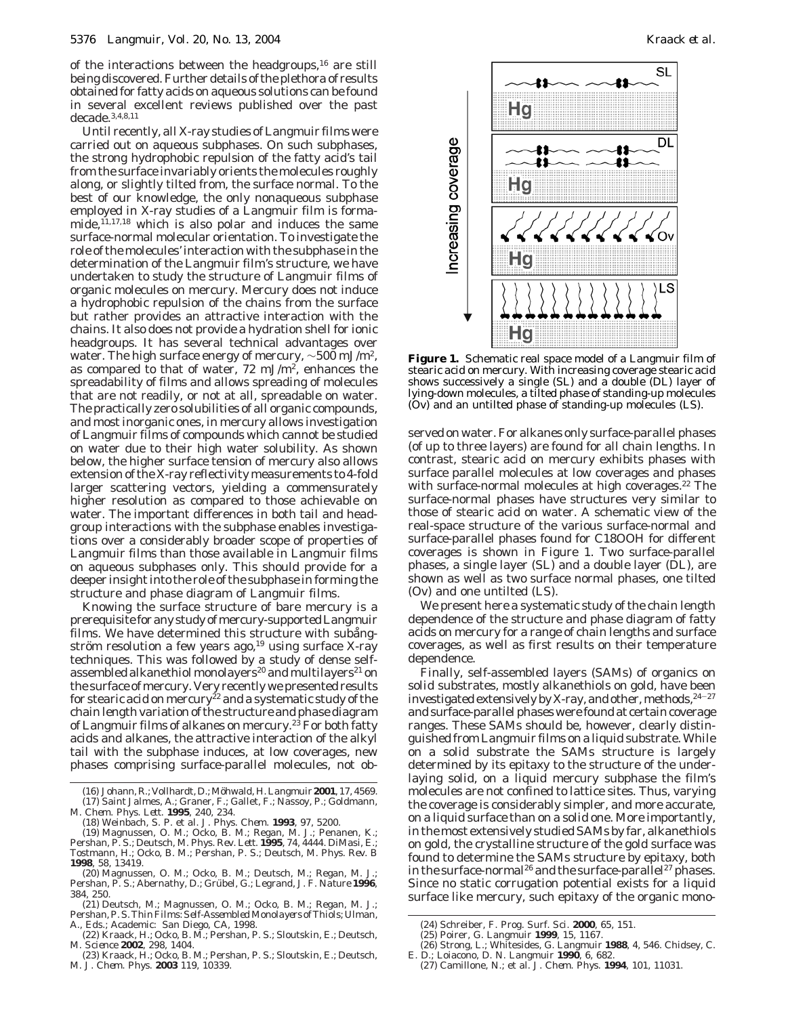of the interactions between the headgroups, $16$  are still being discovered. Further details of the plethora of results obtained for fatty acids on aqueous solutions can be found in several excellent reviews published over the past decade.3,4,8,11

Until recently, all X-ray studies of Langmuir films were carried out on aqueous subphases. On such subphases, the strong hydrophobic repulsion of the fatty acid's tail from the surface invariably orients the molecules roughly along, or slightly tilted from, the surface normal. To the best of our knowledge, the only nonaqueous subphase employed in X-ray studies of a Langmuir film is forma $mide,$ <sup>11,17,18</sup> which is also polar and induces the same surface-normal molecular orientation. To investigate the role of the molecules' interaction with the subphase in the determination of the Langmuir film's structure, we have undertaken to study the structure of Langmuir films of organic molecules on mercury. Mercury does not induce a hydrophobic repulsion of the chains from the surface but rather provides an attractive interaction with the chains. It also does not provide a hydration shell for ionic headgroups. It has several technical advantages over water. The high surface energy of mercury, ∼500 mJ/m2, as compared to that of water,  $72 \text{ mJ/m}^2$ , enhances the spreadability of films and allows spreading of molecules that are not readily, or not at all, spreadable on water. The practically zero solubilities of all organic compounds, and most inorganic ones, in mercury allows investigation of Langmuir films of compounds which cannot be studied on water due to their high water solubility. As shown below, the higher surface tension of mercury also allows extension of the X-ray reflectivity measurements to 4-fold larger scattering vectors, yielding a commensurately higher resolution as compared to those achievable on water. The important differences in both tail and headgroup interactions with the subphase enables investigations over a considerably broader scope of properties of Langmuir films than those available in Langmuir films on aqueous subphases only. This should provide for a deeper insight into the role of the subphase in forming the structure and phase diagram of Langmuir films.

Knowing the surface structure of bare mercury is a prerequisite for any study of mercury-supported Langmuir films. We have determined this structure with subangström resolution a few years ago,  $19$  using surface X-ray techniques. This was followed by a study of dense selfassembled alkanethiol monolayers<sup>20</sup> and multilayers<sup>21</sup> on the surface of mercury. Very recently we presented results for stearic acid on mercury<sup>22</sup> and a systematic study of the chain length variation of the structure and phase diagram of Langmuir films of alkanes on mercury.<sup>23</sup> For both fatty acids and alkanes, the attractive interaction of the alkyl tail with the subphase induces, at low coverages, new phases comprising surface-parallel molecules, not ob-

(16) Johann, R.; Vollhardt, D.; Möhwald, H. Langmuir 2001, 17, 4569. (17) Saint Jalmes, A.; Graner, F.; Gallet, F.; Nassoy, P.; Goldmann, M. *Chem. Phys. Lett.* **1995**, *240*, 234.

(18) Weinbach, S. P. et al. *J. Phys. Chem.* **1993**, *97*, 5200.

(19) Magnussen, O. M.; Ocko, B. M.; Regan, M. J.; Penanen, K.; Pershan, P. S.; Deutsch, M. *Phys. Rev. Lett.* **1995**, *74*, 4444. DiMasi, E.; Tostmann, H.; Ocko, B. M.; Pershan, P. S.; Deutsch, M. *Phys. Rev. B* **1998**, *58*, 13419.

(20) Magnussen, O. M.; Ocko, B. M.; Deutsch, M.; Regan, M. J.; Pershan, P. S.; Abernathy, D.; Grübel, G.; Legrand, J. F. *Nature* 1996, *384*, 250.

(21) Deutsch, M.; Magnussen, O. M.; Ocko, B. M.; Regan, M. J.; Pershan, P. S.*Thin Films*:*Self-Assembled Monolayers of Thiols*; Ulman,

A., Eds.; Academic: San Diego, CA, 1998. (22) Kraack, H.; Ocko, B. M.; Pershan, P. S.; Sloutskin, E.; Deutsch, M. *Science* **2002**, *298*, 1404.

(23) Kraack, H.; Ocko, B. M.; Pershan, P. S.; Sloutskin, E.; Deutsch, M. *J. Chem. Phys.* **2003** *119*, 10339.



**Figure 1.** Schematic real space model of a Langmuir film of stearic acid on mercury. With increasing coverage stearic acid shows successively a single (SL) and a double (DL) layer of lying-down molecules, a tilted phase of standing-up molecules (Ov) and an untilted phase of standing-up molecules (LS).

served on water. For alkanes only surface-parallel phases (of up to three layers) are found for all chain lengths. In contrast, stearic acid on mercury exhibits phases with surface parallel molecules at low coverages and phases with surface-normal molecules at high coverages.<sup>22</sup> The surface-normal phases have structures very similar to those of stearic acid on water. A schematic view of the real-space structure of the various surface-normal and surface-parallel phases found for C18OOH for different coverages is shown in Figure 1. Two surface-parallel phases, a single layer (SL) and a double layer (DL), are shown as well as two surface normal phases, one tilted (Ov) and one untilted (LS).

We present here a systematic study of the chain length dependence of the structure and phase diagram of fatty acids on mercury for a range of chain lengths and surface coverages, as well as first results on their temperature dependence.

Finally, self-assembled layers (SAMs) of organics on *solid* substrates, mostly alkanethiols on gold, have been investigated extensively by X-ray, and other, methods,  $24-27$ and surface-parallel phases were found at certain coverage ranges. These SAMs should be, however, clearly distinguished from Langmuir films on a liquid substrate. While on a solid substrate the SAMs structure is largely determined by its epitaxy to the structure of the underlaying solid, on a liquid mercury subphase the film's molecules are not confined to lattice sites. Thus, varying the coverage is considerably simpler, and more accurate, on a liquid surface than on a solid one. More importantly, in the most extensively studied SAMs by far, alkanethiols on gold, the crystalline structure of the gold surface was found to determine the SAMs structure by epitaxy, both in the surface-normal<sup>26</sup> and the surface-parallel<sup>27</sup> phases. Since no static corrugation potential exists for a liquid surface like mercury, such epitaxy of the organic mono-

<sup>(24)</sup> Schreiber, F. *Prog. Surf. Sci.* **2000**, *65*, 151.

<sup>(25)</sup> Poirer, G. *Langmuir* **1999**, *15*, 1167.

<sup>(26)</sup> Strong, L.; Whitesides, G. *Langmuir* **1988**, *4*, 546. Chidsey, C.

E. D.; Loiacono, D. N. *Langmuir* **1990**, *6*, 682. (27) Camillone, N.; et al. *J. Chem. Phys.* **1994**, *101*, 11031.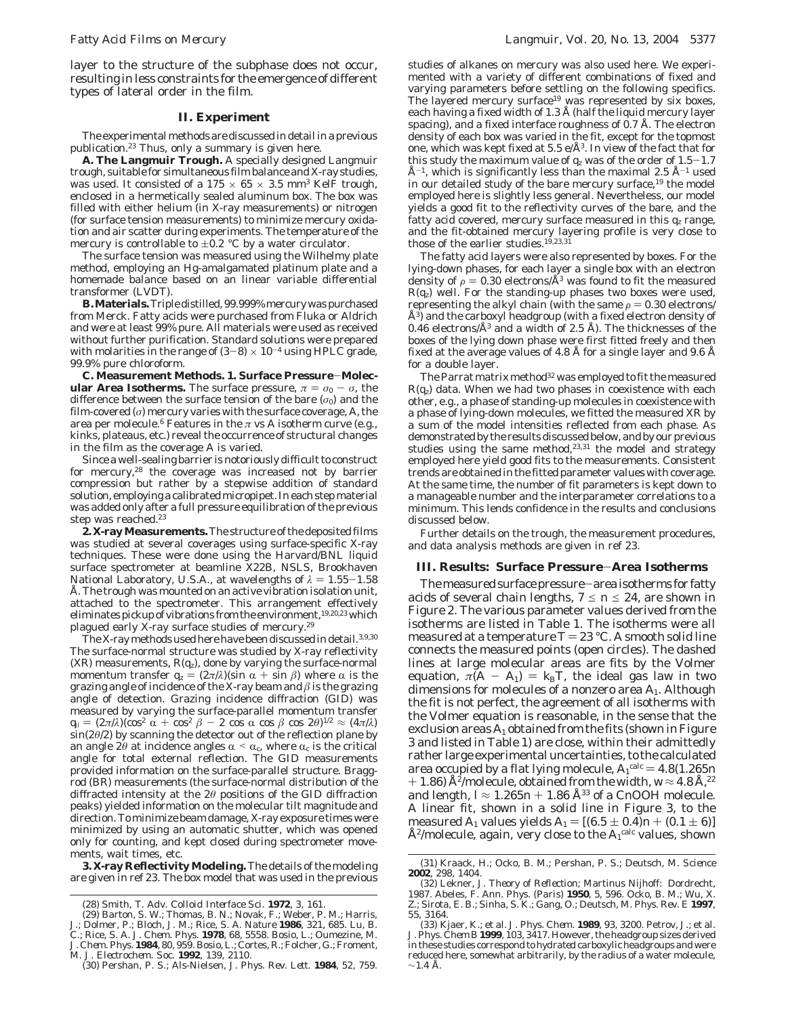layer to the structure of the subphase does not occur, resulting in less constraints for the emergence of different types of lateral order in the film.

# **II. Experiment**

The experimental methods are discussed in detail in a previous publication.<sup>23</sup> Thus, only a summary is given here.

**A. The Langmuir Trough.** A specially designed Langmuir trough, suitable for simultaneous film balance and X-ray studies, was used. It consisted of a  $175 \times 65 \times 3.5$  mm<sup>3</sup> KelF trough, enclosed in a hermetically sealed aluminum box. The box was filled with either helium (in X-ray measurements) or nitrogen (for surface tension measurements) to minimize mercury oxidation and air scatter during experiments. The temperature of the mercury is controllable to  $\pm 0.2$  °C by a water circulator.

The surface tension was measured using the Wilhelmy plate method, employing an Hg-amalgamated platinum plate and a homemade balance based on an linear variable differential transformer (LVDT).

**B. Materials.** Triple distilled, 99.999% mercury was purchased from Merck. Fatty acids were purchased from Fluka or Aldrich and were at least 99% pure. All materials were used as received without further purification. Standard solutions were prepared with molarities in the range of  $(3-8) \times 10^{-4}$  using HPLC grade, 99.9% pure chloroform.

**C. Measurement Methods. 1. Surface Pressure**-**Molecular Area Isotherms.** The surface pressure,  $\pi = \sigma_0 - \sigma$ , the difference between the surface tension of the bare  $(\sigma_0)$  and the film-covered (*σ*) mercury varies with the surface coverage, *A*, the area per molecule.<sup>6</sup> Features in the  $\pi$  vs  $A$  isotherm curve (e.g., kinks, plateaus, etc.) reveal the occurrence of structural changes in the film as the coverage *A* is varied.

Since a well-sealing barrier is notoriously difficult to construct for mercury,28 the coverage was increased not by barrier compression but rather by a stepwise addition of standard solution, employing a calibrated micropipet. In each step material was added only after a full pressure equilibration of the previous step was reached.<sup>23</sup>

**2. X-ray Measurements.**The structure of the deposited films was studied at several coverages using surface-specific X-ray techniques. These were done using the Harvard/BNL liquid surface spectrometer at beamline X22B, NSLS, Brookhaven National Laboratory, U.S.A., at wavelengths of  $\lambda = 1.55 - 1.58$ Å. The trough was mounted on an active vibration isolation unit, attached to the spectrometer. This arrangement effectively eliminates pickup of vibrations from the environment,<sup>19,20,23</sup> which plagued early X-ray surface studies of mercury.29

The X-ray methods used here have been discussed in detail.3,9,30 The surface-normal structure was studied by X-ray reflectivity  $(XR)$  measurements,  $R(q_z)$ , done by varying the surface-normal momentum transfer  $q_z = (2\pi/\lambda)(\sin \alpha + \sin \beta)$  where  $\alpha$  is the grazing angle of incidence of the X-ray beam and  $\beta$  is the grazing angle of detection. Grazing incidence diffraction (GID) was measured by varying the surface-parallel momentum transfer  $q_{\parallel} = (2\pi/\lambda)(\cos^2 \alpha + \cos^2 \beta - 2 \cos \alpha \cos \beta \cos 2\theta)^{1/2} \approx (4\pi/\lambda)$ sin(2*θ*/2) by scanning the detector out of the reflection plane by an angle 2 $\theta$  at incidence angles  $\alpha < \alpha_c$ , where  $\alpha_c$  is the critical angle for total external reflection. The GID measurements provided information on the surface-parallel structure. Braggrod (BR) measurements (the surface-normal distribution of the diffracted intensity at the 2*θ* positions of the GID diffraction peaks) yielded information on the molecular tilt magnitude and direction. To minimize beam damage, X-ray exposure times were minimized by using an automatic shutter, which was opened only for counting, and kept closed during spectrometer movements, wait times, etc.

**3. X-ray Reflectivity Modeling.** The details of the modeling are given in ref 23. The box model that was used in the previous

studies of alkanes on mercury was also used here. We experimented with a variety of different combinations of fixed and varying parameters before settling on the following specifics. The layered mercury surface<sup>19</sup> was represented by six boxes, each having a fixed width of 1.3 Å (half the liquid mercury layer spacing), and a fixed interface roughness of  $0.7$  Å. The electron density of each box was varied in the fit, except for the topmost one, which was kept fixed at 5.5  $e/\text{\AA}^3$ . In view of the fact that for this study the maximum value of  $q_z$  was of the order of  $1.5-1.7$  $\AA^{-1}$ , which is significantly less than the maximal 2.5  $\AA^{-1}$  used in our detailed study of the bare mercury surface,19 the model employed here is slightly less general. Nevertheless, our model yields a good fit to the reflectivity curves of the bare, and the fatty acid covered, mercury surface measured in this  $q_z$  range, and the fit-obtained mercury layering profile is very close to those of the earlier studies.<sup>19,23,31</sup>

The fatty acid layers were also represented by boxes. For the lying-down phases, for each layer a single box with an electron density of  $\rho = 0.30$  electrons/Å<sup>3</sup> was found to fit the measured  $R(q_z)$  well. For the standing-up phases two boxes were used, representing the alkyl chain (with the same  $\rho = 0.30$  electrons/ Å3) and the carboxyl headgroup (with a fixed electron density of 0.46 electrons/ $\AA^3$  and a width of 2.5 Å). The thicknesses of the boxes of the lying down phase were first fitted freely and then fixed at the average values of 4.8 Å for a single layer and 9.6 Å for a double layer.

The Parrat matrix method<sup>32</sup> was employed to fit the measured  $R(q_z)$  data. When we had two phases in coexistence with each other, e.g., a phase of standing-up molecules in coexistence with a phase of lying-down molecules, we fitted the measured XR by a sum of the model intensities reflected from each phase. As demonstrated by the results discussed below, and by our previous studies using the same method,<sup>23,31</sup> the model and strategy employed here yield good fits to the measurements. Consistent trends are obtained in the fitted parameter values with coverage. At the same time, the number of fit parameters is kept down to a manageable number and the interparameter correlations to a minimum. This lends confidence in the results and conclusions discussed below.

Further details on the trough, the measurement procedures, and data analysis methods are given in ref 23.

#### **III. Results: Surface Pressure**-**Area Isotherms**

The measured surface pressure-area isotherms for fatty acids of several chain lengths,  $7 \le n \le 24$ , are shown in Figure 2. The various parameter values derived from the isotherms are listed in Table 1. The isotherms were all measured at a temperature  $T = 23$  °C. A smooth solid line connects the measured points (open circles). The dashed lines at large molecular areas are fits by the Volmer equation,  $\bar{\pi}(A - A_1) = k_B T$ , the ideal gas law in two dimensions for molecules of a nonzero area *A*1. Although the fit is not perfect, the agreement of all isotherms with the Volmer equation is reasonable, in the sense that the exclusion areas  $A_1$  obtained from the fits (shown in Figure 3 and listed in Table 1) are close, within their admittedly rather large experimental uncertainties, to the calculated area occupied by a flat lying molecule,  $A_1^{\text{calc}} = 4.8(1.265n + 1.86)$  Å $^{2}/$ molecule, obtained from the width  $w \approx 4.8$  Å  $^{22}$  $+$  1.86) Å<sup>2</sup>/molecule, obtained from the width,  $W \approx 4.8$  Å,<sup>22</sup> and length,  $I \approx 1.265n + 1.86$  Å<sup>33</sup> of a C*n*OOH molecule. A linear fit, shown in a solid line in Figure 3, to the measured *A*<sub>1</sub> values yields  $A_1 = [(6.5 \pm 0.4)n + (0.1 \pm 6)]$  $\rm \AA^2/molecule$ , again, very close to the  $A_1^{\rm calc}$  values, shown

<sup>(28)</sup> Smith, T. *Adv. Colloid Interface Sci.* **1972**, *3*, 161.

<sup>(29)</sup> Barton, S. W.; Thomas, B. N.; Novak, F.; Weber, P. M.; Harris, J.; Dolmer, P.; Bloch, J. M.; Rice, S. A. *Nature* **1986**, *321*, 685. Lu, B. C.; Rice, S. A. *J. Chem. Phys.* **1978**, *68*, 5558. Bosio, L.; Oumezine, M.

*J. Chem. Phys.* **1984**, *80*, 959. Bosio, L.; Cortes, R.; Folcher, G.; Froment, M. *J. Electrochem. Soc.* **1992**, *139*, 2110. (30) Pershan, P. S.; Als-Nielsen, J. *Phys. Rev. Lett.* **1984**, *52*, 759.

<sup>(31)</sup> Kraack, H.; Ocko, B. M.; Pershan, P. S.; Deutsch, M. *Science* **2002**, *298*, 1404.

<sup>(32)</sup> Lekner, J. *Theory of Reflection*; Martinus Nijhoff: Dordrecht, 1987. Abeles, F. *Ann. Phys.* (*Paris*) **1950**, *5*, 596. Ocko, B. M.; Wu, X. Z.; Sirota, E. B.; Sinha, S. K.; Gang, O.; Deutsch, M. *Phys. Rev. E* **1997**, *55*, 3164.

<sup>(33)</sup> Kjaer, K.; et al. *J. Phys. Chem.* **1989**, *93*, 3200. Petrov, J.; et al. *J. Phys. Chem B* **1999**, *103*, 3417. However, the headgroup sizes derived in these studies correspond to *hydrated* carboxylic headgroups and were reduced here, somewhat arbitrarily, by the radius of a water molecule,  $~\sim$ 1.4 Å.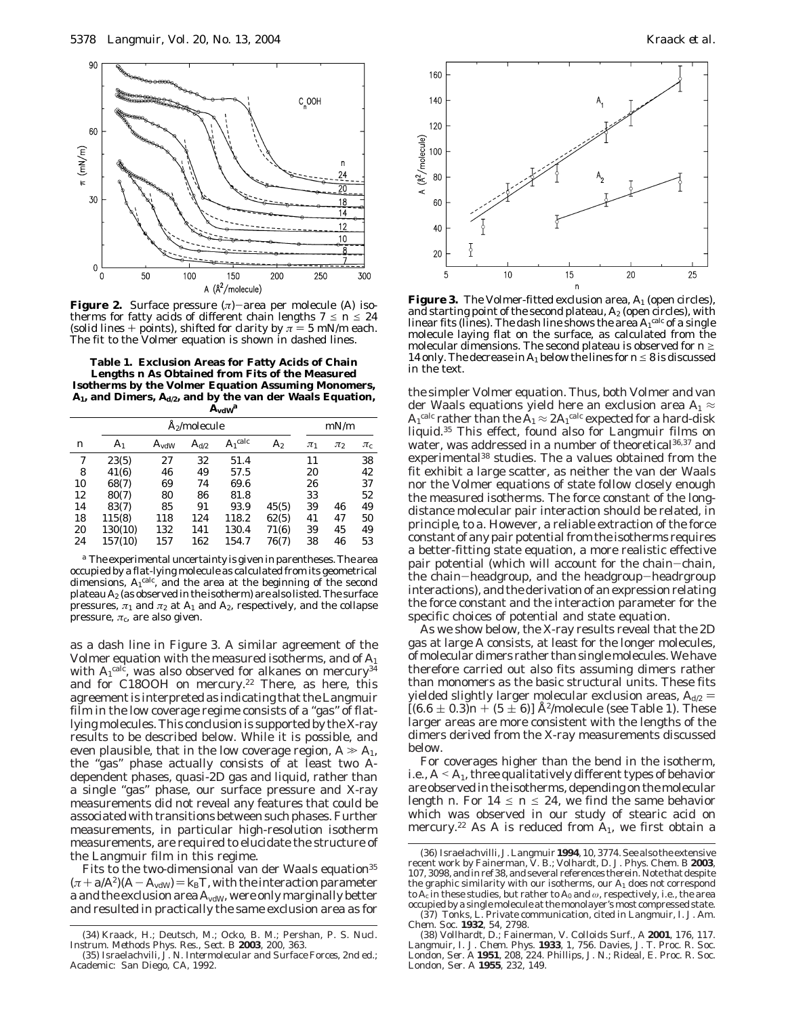

**Figure 2.** Surface pressure (*π*)-area per molecule (*A*) isotherms for fatty acids of different chain lengths  $7 \le n \le 24$ (solid lines + points), shifted for clarity by  $\pi = 5$  mN/m each. The fit to the Volmer equation is shown in dashed lines.

**Table 1. Exclusion Areas for Fatty Acids of Chain Lengths** *n* **As Obtained from Fits of the Measured Isotherms by the Volmer Equation Assuming Monomers,** *A***1, and Dimers,** *A***d/2, and by the van der Waals Equation,**  $A$ **v**dW<sup>*a*</sup>

|    |                | <b>Å2/molecule</b> |               |            |       |         | mN/m    |                    |  |
|----|----------------|--------------------|---------------|------------|-------|---------|---------|--------------------|--|
| n  | A <sub>1</sub> | $A_{vdW}$          | $A_{\rm d/2}$ | $A_1$ calc | $A_2$ | $\pi_1$ | $\pi_2$ | $\pi_{\mathrm{c}}$ |  |
| 7  | 23(5)          | 27                 | 32            | 51.4       |       | 11      |         | 38                 |  |
| 8  | 41(6)          | 46                 | 49            | 57.5       |       | 20      |         | 42                 |  |
| 10 | 68(7)          | 69                 | 74            | 69.6       |       | 26      |         | 37                 |  |
| 12 | 80(7)          | 80                 | 86            | 81.8       |       | 33      |         | 52                 |  |
| 14 | 83(7)          | 85                 | 91            | 93.9       | 45(5) | 39      | 46      | 49                 |  |
| 18 | 115(8)         | 118                | 124           | 118.2      | 62(5) | 41      | 47      | 50                 |  |
| 20 | 130(10)        | 132                | 141           | 130.4      | 71(6) | 39      | 45      | 49                 |  |
| 24 | 157(10)        | 157                | 162           | 154.7      | 76(7) | 38      | 46      | 53                 |  |

*<sup>a</sup>* The experimental uncertainty is given in parentheses. The area occupied by a flat-lying molecule as calculated from its geometrical dimensions,  $A_1^{\text{calc}}$ , and the area at the beginning of the second plateau *A*<sup>2</sup> (as observed in the isotherm) are also listed. The surface pressures,  $\pi_1$  and  $\pi_2$  at  $A_1$  and  $A_2$ , respectively, and the collapse pressure,  $\pi_\mathrm{c}$  are also given.

as a dash line in Figure 3. A similar agreement of the Volmer equation with the measured isotherms, and of *A*<sup>1</sup> with  $A_1^{\rm calc,}$  was also observed for alkanes on mercury $^{34}$ and for C18OOH on mercury.<sup>22</sup> There, as here, this agreement is interpreted as indicating that the Langmuir film in the low coverage regime consists of a "gas" of flatlying molecules. This conclusion is supported by the X-ray results to be described below. While it is possible, and even plausible, that in the low coverage region,  $A \gg A_1$ , the "gas" phase actually consists of at least two *A*dependent phases, quasi-2D gas and liquid, rather than a single "gas" phase, our surface pressure and X-ray measurements did not reveal any features that could be associated with transitions between such phases. Further measurements, in particular high-resolution isotherm measurements, are required to elucidate the structure of the Langmuir film in this regime.

Fits to the two-dimensional van der Waals equation<sup>35</sup>  $(\pi + a/A^2)(A - A_{\text{vdW}}) = k_B T$ , with the interaction parameter a and the exclusion area  $A_{vdW}$ , were only marginally better and resulted in practically the same exclusion area as for



**Figure 3.** The Volmer-fitted exclusion area,  $A_1$  (open circles), and starting point of the second plateau,  $A_2$  (open circles), with linear fits (lines). The dash line shows the area  $A_1^{\rm calc}$  of a single molecule laying flat on the surface, as calculated from the molecular dimensions. The second plateau is observed for  $n \geq$ 14 only. The decrease in  $A_1$  below the lines for  $n \leq 8$  is discussed in the text.

the simpler Volmer equation. Thus, both Volmer and van der Waals equations yield here an exclusion area  $A_1 \approx$  $A_1^{\text{calc}}$  rather than the  $A_1 \approx 2A_1^{\text{calc}}$  expected for a hard-disk liquid.35 This effect, found also for Langmuir films on water, was addressed in a number of theoretical<sup>36,37</sup> and experimental38 studies. The *a* values obtained from the fit exhibit a large scatter, as neither the van der Waals nor the Volmer equations of state follow closely enough the measured isotherms. The force constant of the longdistance molecular pair interaction should be related, *in principle*, to *a*. However, a reliable extraction of the force constant of any pair potential from the isotherms requires a better-fitting state equation, a more realistic effective pair potential (which will account for the chain-chain, the chain-headgroup, and the headgroup-headrgroup interactions), and the derivation of an expression relating the force constant and the interaction parameter for the specific choices of potential and state equation.

As we show below, the X-ray results reveal that the 2D gas at large *A* consists, at least for the longer molecules, of molecular dimers rather than single molecules. We have therefore carried out also fits assuming dimers rather than monomers as the basic structural units. These fits yielded slightly larger molecular exclusion areas,  $A_{d2}$  =  $[(6.6 \pm 0.3)n + (5 \pm 6)]$  Å<sup>2</sup>/molecule (see Table 1). These larger areas are more consistent with the lengths of the dimers derived from the X-ray measurements discussed below.

For coverages higher than the bend in the isotherm, i.e.,  $A \leq A_1$ , three qualitatively different types of behavior are observed in the isotherms, depending on the molecular length *n*. For  $14 \le n \le 24$ , we find the same behavior which was observed in our study of stearic acid on mercury.<sup>22</sup> As *A* is reduced from  $A_1$ , we first obtain a

<sup>(34)</sup> Kraack, H.; Deutsch, M.; Ocko, B. M.; Pershan, P. S. *Nucl. Instrum. Methods Phys. Res., Sect. B* **2003**, *200*, 363.

<sup>(35)</sup> Israelachvili, J. N. *Intermolecular and Surface Forces*, 2nd ed.; Academic: San Diego, CA, 1992.

<sup>(36)</sup> Israelachvilli, J.*Langmuir* **1994**, *10*, 3774. See also the extensive recent work by Fainerman, V. B.; Volhardt, D. *J. Phys. Chem. B* **2003**, *107*, 3098, and in ref 38, and several references therein. Note that despite the graphic similarity with our isotherms, our *A*<sup>1</sup> *does not* correspond to  $A_c$  in these studies, but rather to  $A_0$  and  $\omega$ , respectively, i.e., the area occupied by a single molecule at the monolayer's most compressed state. (37) Tonks, L. Private communication, cited in Langmuir, I. *J. Am.*

*Chem. Soc.* **1932**, *54*, 2798. (38) Vollhardt, D.; Fainerman, V. *Colloids Surf., A* **2001**, *176*, 117.

Langmuir*,* I. *J. Chem. Phys.* **1933**, *1*, 756. Davies, J. T. *Proc. R. Soc. London, Ser. A* **1951**, *208*, 224. Phillips, J. N.; Rideal, E. *Proc. R. Soc. London, Ser. A* **1955**, *232*, 149.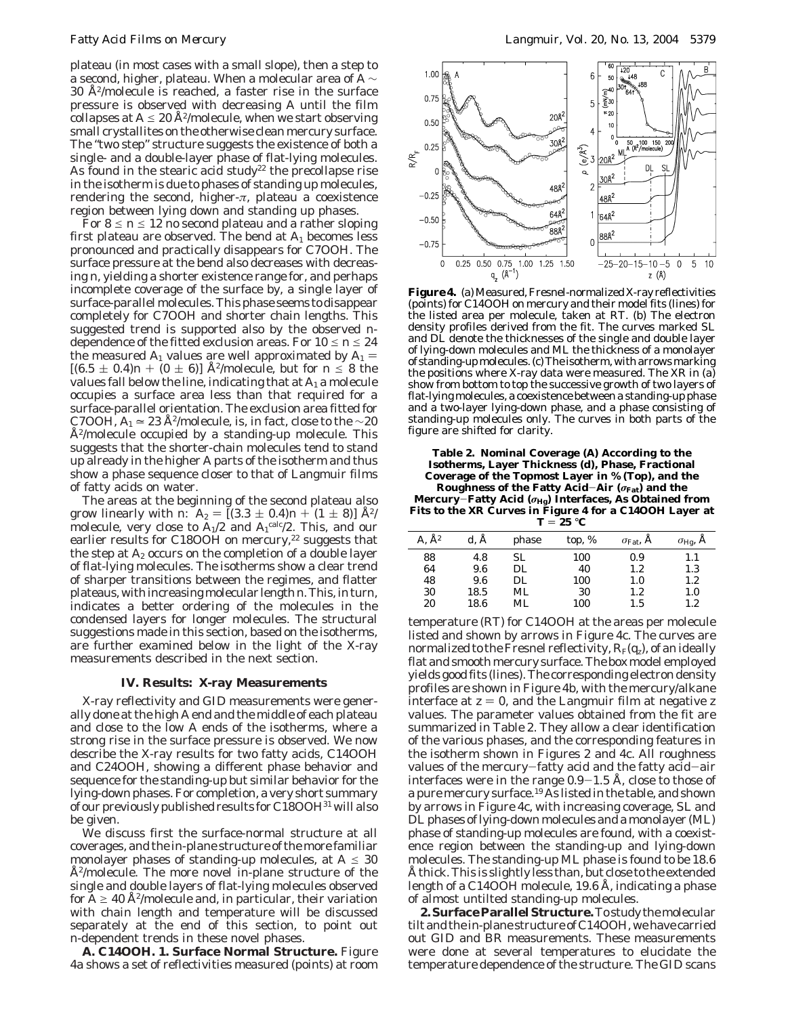plateau (in most cases with a small slope), then a step to a second, higher, plateau. When a molecular area of *A* ∼  $30 \text{ Å}^2$ /molecule is reached, a faster rise in the surface pressure is observed with decreasing *A* until the film collapses at  $A \leq 20$  Å<sup>2</sup>/molecule, when we start observing small crystallites on the otherwise clean mercury surface. The "two step" structure suggests the existence of both a single- and a double-layer phase of flat-lying molecules. As found in the stearic acid study<sup>22</sup> the precollapse rise in the isotherm is due to phases of standing up molecules, rendering the second, higher-*π*, plateau a coexistence region between lying down and standing up phases.

For  $8 \le n \le 12$  no second plateau and a rather sloping first plateau are observed. The bend at *A*<sup>1</sup> becomes less pronounced and practically disappears for C7OOH. The surface pressure at the bend also decreases with decreasing *n*, yielding a shorter existence range for, and perhaps incomplete coverage of the surface by, a single layer of surface-parallel molecules. This phase seems to disappear completely for C7OOH and shorter chain lengths. This suggested trend is supported also by the observed *n*dependence of the fitted exclusion areas. For  $10 \le n \le 24$ the measured  $A_1$  values are well approximated by  $A_1$  =  $[(6.5 \pm 0.4)n + (0 \pm 6)]$  Å<sup>2</sup>/molecule, but for  $n \le 8$  the values fall below the line, indicating that at *A*<sup>1</sup> a molecule occupies a surface area less than that required for a surface-parallel orientation. The exclusion area fitted for C7OOH,  $A_1 \approx 23 \text{ Å}^2/\text{molecule}$ , is, in fact, close to the  $\sim 20$  $A<sup>2</sup>/molecule$  occupied by a standing-up molecule. This suggests that the shorter-chain molecules tend to stand up already in the higher *A* parts of the isotherm and thus show a phase sequence closer to that of Langmuir films of fatty acids on water.

The areas at the beginning of the second plateau also grow linearly with *n*:  $A_2 = [(3.3 \pm 0.4)n + (1 \pm 8)] \text{ Å}^2$ molecule, very close to  $A_1/2$  and  $A_1^{\text{calc}}/2$ . This, and our earlier results for C18OOH on mercury,<sup>22</sup> suggests that the step at *A*<sup>2</sup> occurs on the completion of a double layer of flat-lying molecules. The isotherms show a clear trend of sharper transitions between the regimes, and flatter plateaus, with increasing molecular length*n*. This, in turn, indicates a better ordering of the molecules in the condensed layers for longer molecules. The structural suggestions made in this section, based on the isotherms, are further examined below in the light of the X-ray measurements described in the next section.

### **IV. Results: X-ray Measurements**

X-ray reflectivity and GID measurements were generally done at the high *A* end and the middle of each plateau and close to the low *A* ends of the isotherms, where a strong rise in the surface pressure is observed. We now describe the X-ray results for two fatty acids, C14OOH and C24OOH, showing a different phase behavior and sequence for the standing-up but similar behavior for the lying-down phases. For completion, a very short summary of our previously published results for C18OOH31 will also be given.

We discuss first the surface-normal structure at all coverages, and the in-plane structure of the more familiar monolayer phases of standing-up molecules, at  $A \leq 30$ Å2/molecule. The more novel in-plane structure of the single and double layers of flat-lying molecules observed for  $A \geq 40$  Å<sup>2</sup>/molecule and, in particular, their variation with chain length and temperature will be discussed separately at the end of this section, to point out *n*-dependent trends in these novel phases.

**A. C14OOH. 1. Surface Normal Structure.** Figure 4a shows a set of reflectivities measured (points) at room



**Figure4.** (a) Measured, Fresnel-normalized X-ray reflectivities (points) for C14OOH on mercury and their model fits (lines) for the listed area per molecule, taken at RT. (b) The electron density profiles derived from the fit. The curves marked SL and DL denote the thicknesses of the single and double layer of lying-down molecules and ML the thickness of a monolayer of standing-up molecules. (c) The isotherm, with arrows marking the positions where X-ray data were measured. The XR in (a) show from bottom to top the successive growth of two layers of flat-lying molecules, a coexistence between a standing-up phase and a two-layer lying-down phase, and a phase consisting of standing-up molecules only. The curves in both parts of the figure are shifted for clarity.

#### **Table 2. Nominal Coverage (***A***) According to the Isotherms, Layer Thickness (***d***), Phase, Fractional Coverage of the Topmost Layer in % (Top), and the Roughness of the Fatty Acid**-**Air (***σ***Fat) and the Mercury**-**Fatty Acid (***σ***Hg) Interfaces, As Obtained from Fits to the XR Curves in Figure 4 for a C14OOH Layer at** *<sup>T</sup>* ) **<sup>25</sup>** °**<sup>C</sup>**

| ---                    |          |       |          |                           |                   |  |  |
|------------------------|----------|-------|----------|---------------------------|-------------------|--|--|
| $A$ , $\mathring{A}^2$ | $d, \AA$ | phase | top, $%$ | $\sigma_{\text{Fat}}$ , A | $\sigma_{Hg}$ , A |  |  |
| 88                     | 4.8      | SL    | 100      | 0.9                       | 1.1               |  |  |
| 64                     | 9.6      | DL    | 40       | $1.2\,$                   | $1.3\,$           |  |  |
| 48                     | 9.6      | DL.   | 100      | 1.0                       | $1.2\,$           |  |  |
| 30                     | 18.5     | ML    | 30       | $1.2\,$                   | 1.0               |  |  |
| 20                     | 18.6     | ML    | 100      | 1.5                       | $1.2\,$           |  |  |

temperature (RT) for C14OOH at the areas per molecule listed and shown by arrows in Figure 4c. The curves are normalized to the Fresnel reflectivity,  $R_F(q_z)$ , of an ideally flat and smooth mercury surface. The box model employed yields good fits (lines). The corresponding electron density profiles are shown in Figure 4b, with the mercury/alkane interface at  $z = 0$ , and the Langmuir film at negative  $z$ values. The parameter values obtained from the fit are summarized in Table 2. They allow a clear identification of the various phases, and the corresponding features in the isotherm shown in Figures 2 and 4c. All roughness values of the mercury-fatty acid and the fatty acid-air interfaces were in the range 0.9-1.5 Å, close to those of a pure mercury surface.19 As listed in the table, and shown by arrows in Figure 4c, with increasing coverage, SL and DL phases of lying-down molecules and a monolayer (ML) phase of standing-up molecules are found, with a coexistence region between the standing-up and lying-down molecules. The standing-up ML phase is found to be 18.6 Å thick. This is slightly less than, but close to the extended length of a C14OOH molecule, 19.6 Å, indicating a phase of almost untilted standing-up molecules.

**2. Surface Parallel Structure.**To study the molecular tilt and the in-plane structure of C14OOH, we have carried out GID and BR measurements. These measurements were done at several temperatures to elucidate the temperature dependence of the structure. The GID scans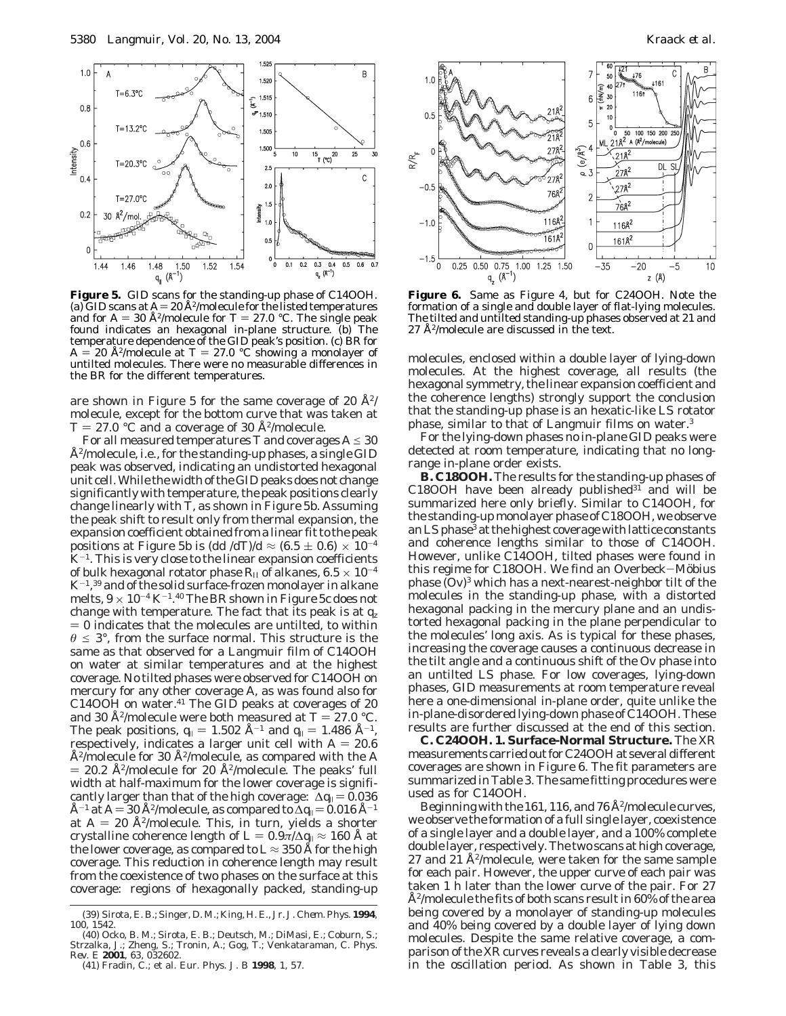

**Figure 5.** GID scans for the standing-up phase of C14OOH. (a) GID scans at  $A = 20$  Å<sup>2</sup>/molecule for the listed temperatures and for  $A = 30$  Å<sup>2</sup>/molecule for  $T = 27.0$  °C. The single peak<br>found indicates an hexagonal in-plane structure. (b) The temperature dependence of the GID peak's position. (c) BR for  $A = 20$  Å<sup>2</sup>/molecule at  $T = 27.0$  °C showing a monolayer of untilted molecules. There were no measurable differences in the BR for the different temperatures.

are shown in Figure 5 for the same coverage of 20  $A<sup>2</sup>/$ molecule, except for the bottom curve that was taken at  $T = 27.0$  °C and a coverage of 30 Å<sup>2</sup>/molecule.

For all measured temperatures *T* and coverages  $A \le 30$ Å2/molecule, i.e., for the standing-up phases, a single GID peak was observed, indicating an undistorted hexagonal unit cell. While the width of the GID peaks does not change significantly with temperature, the peak positions clearly change linearly with *T*, as shown in Figure 5b. Assuming the peak shift to result only from thermal expansion, the expansion coefficient obtained from a linear fit to the peak positions at Figure 5b is  $\left(\frac{dd}{d} \right)$ / $d \approx (6.5 \pm 0.6) \times 10^{-4}$  $K^{-1}$ . This is very close to the linear expansion coefficients of bulk hexagonal rotator phase  $R_{II}$  of alkanes,  $6.5 \times 10^{-4}$ K-1, <sup>39</sup> and of the solid surface-frozen monolayer in alkane melts,  $9 \times 10^{-4}$  K<sup>-1</sup>.<sup>40</sup> The BR shown in Figure 5c does not change with temperature. The fact that its peak is at *qz*  $= 0$  indicates that the molecules are untilted, to within  $\theta \leq 3^{\circ}$ , from the surface normal. This structure is the same as that observed for a Langmuir film of C14OOH on water at similar temperatures and at the highest coverage. No tilted phases were observed for C14OOH on mercury for any other coverage *A*, as was found also for C14OOH on water.<sup>41</sup> The GID peaks at coverages of 20 and 30 Å<sup>2</sup>/molecule were both measured at  $T = 27.0$  °C. The peak positions,  $q_{\parallel} = 1.502 \text{ Å}^{-1}$  and  $q_{\parallel} = 1.486 \text{ Å}^{-1}$ , respectively, indicates a larger unit cell with  $A = 20.6$ Å2/molecule for 30 Å2/molecule, as compared with the *A*  $= 20.2$  Å<sup>2</sup>/molecule for 20 Å<sup>2</sup>/molecule. The peaks' full width at half-maximum for the lower coverage is significantly larger than that of the high coverage:  $\Delta q_{\parallel} = 0.036$ Å<sup>-1</sup> at *A* = 30 Å<sup>2</sup>/molecule, as compared to  $\Delta q_{\parallel}$  = 0.016 Å<sup>-1</sup> at  $A = 20$  Å<sup>2</sup>/molecule. This, in turn, yields a shorter crystalline coherence length of  $L = 0.9\pi/\Delta q_{\parallel} \approx 160$  Å at the lower coverage, as compared to  $L \approx 350$  Å for the high coverage. This reduction in coherence length may result from the coexistence of two phases on the surface at this coverage: regions of hexagonally packed, standing-up



**Figure 6.** Same as Figure 4, but for C24OOH. Note the formation of a single and double layer of flat-lying molecules. The tilted and untilted standing-up phases observed at 21 and 27 Å2/molecule are discussed in the text.

molecules, enclosed within a double layer of lying-down molecules. At the highest coverage, all results (the hexagonal symmetry, the linear expansion coefficient and the coherence lengths) strongly support the conclusion that the standing-up phase is an hexatic-like LS rotator phase, similar to that of Langmuir films on water.3

For the lying-down phases no in-plane GID peaks were detected at room temperature, indicating that no longrange in-plane order exists.

**B. C18OOH.** The results for the standing-up phases of  $C18OOH$  have been already published<sup>31</sup> and will be summarized here only briefly. Similar to C14OOH, for the standing-up monolayer phase of C18OOH, we observe an LS phase<sup>3</sup> at the highest coverage with lattice constants and coherence lengths similar to those of C14OOH. However, unlike C14OOH, tilted phases were found in this regime for C18OOH. We find an Overbeck-Möbius phase  $(Ov)^3$  which has a next-nearest-neighbor tilt of the molecules in the standing-up phase, with a distorted hexagonal packing in the mercury plane and an undistorted hexagonal packing in the plane perpendicular to the molecules' long axis. As is typical for these phases, increasing the coverage causes a continuous decrease in the tilt angle and a continuous shift of the Ov phase into an untilted LS phase. For low coverages, lying-down phases, GID measurements at room temperature reveal here a one-dimensional in-plane order, quite unlike the in-plane-disordered lying-down phase of C14OOH. These results are further discussed at the end of this section.

**C. C24OOH. 1. Surface-Normal Structure.** The XR measurements carried out for C24OOH at several different coverages are shown in Figure 6. The fit parameters are summarized in Table 3. The same fitting procedures were used as for C14OOH.

Beginning with the 161, 116, and 76  $A<sup>2</sup>/molecule curves$ , we observe the formation of a full single layer, coexistence of a single layer and a double layer, and a 100% complete double layer, respectively. The two scans at high coverage, 27 and 21 Å<sup>2</sup>/molecule, were taken for the same sample for each pair. However, the upper curve of each pair was taken 1 h later than the lower curve of the pair. For 27 Å2/molecule the fits of both scans result in 60% of the area being covered by a monolayer of standing-up molecules and 40% being covered by a double layer of lying down molecules. Despite the same relative coverage, a comparison of the XR curves reveals a clearly visible decrease in the oscillation period. As shown in Table 3, this

<sup>(39)</sup> Sirota, E. B.; Singer, D. M.; King, H. E., Jr. *J. Chem. Phys.* **1994**, *100*, 1542.

<sup>(40)</sup> Ocko, B. M.; Sirota, E. B.; Deutsch, M.; DiMasi, E.; Coburn, S.; Strzalka, J.; Zheng, S.; Tronin, A.; Gog, T.; Venkataraman, C. *Phys. Rev. E* **2001**, *63*, 032602. (41) Fradin, C.; et al. *Eur. Phys. J. B* **1998**, *1*, 57.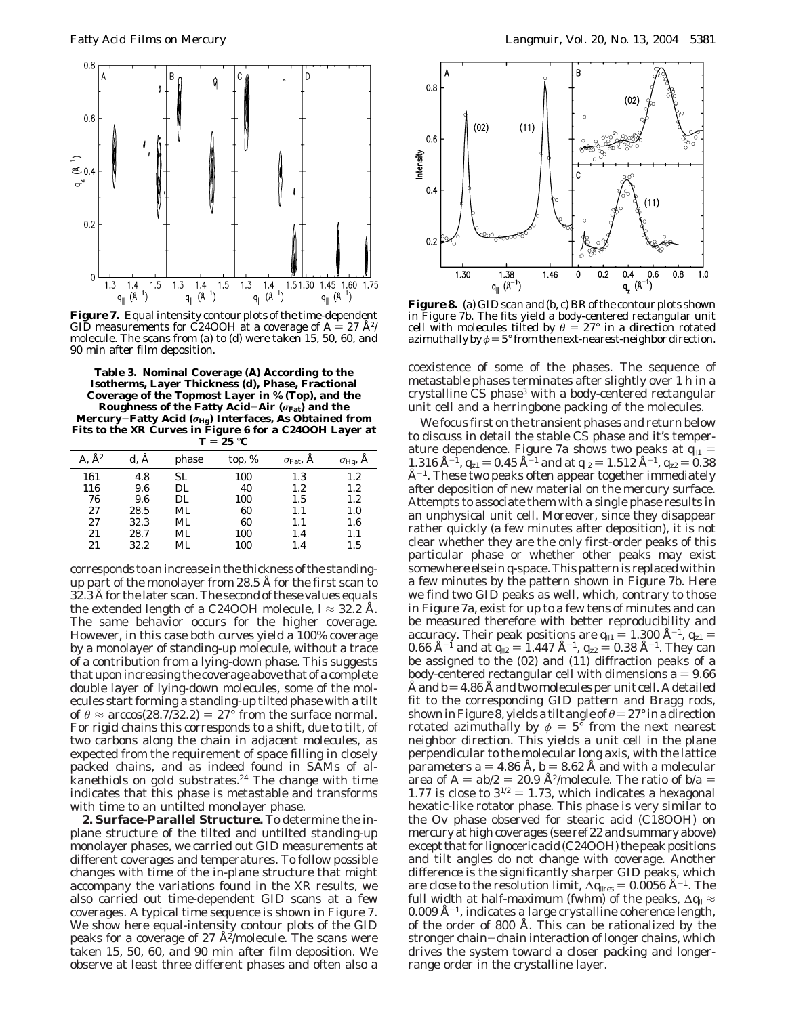

**Figure 7.** Equal intensity contour plots of the time-dependent GID measurements for C24OOH at a coverage of  $A = 27$   $\rm \AA^2$ / molecule. The scans from (a) to (d) were taken 15, 50, 60, and 90 min after film deposition.

**Table 3. Nominal Coverage (***A***) According to the Isotherms, Layer Thickness (***d***), Phase, Fractional Coverage of the Topmost Layer in % (Top), and the Roughness of the Fatty Acid**-**Air (***σ***Fat) and the Mercury**-**Fatty Acid (***σ***Hg) Interfaces, As Obtained from Fits to the XR Curves in Figure 6 for a C24OOH Layer at**  $T = 25 °C$ 

| $\rm A^2$ | d. A | phase | top, $%$ | $\sigma_{\text{Fat}}$ , A | $\sigma_{\text{Hg}}$ , A |
|-----------|------|-------|----------|---------------------------|--------------------------|
| 161       | 4.8  | SL.   | 100      | 1.3                       | $1.2\,$                  |
| 116       | 9.6  | DL.   | 40       | 1.2                       | $1.2\,$                  |
| 76        | 9.6  | DL    | 100      | 1.5                       | $1.2\,$                  |
| 27        | 28.5 | ML    | 60       | 1.1                       | 1.0                      |
| 27        | 32.3 | ML    | 60       | 1.1                       | $1.6\,$                  |
| 21        | 28.7 | ML    | 100      | 1.4                       | $1.1\,$                  |
| 21        | 32.2 | ML    | 100      | 1.4                       | $1.5\,$                  |

corresponds to an increase in the thickness of the standingup part of the monolayer from 28.5 Å for the first scan to 32.3 Å for the later scan. The second of these values equals the extended length of a C24OOH molecule,  $l \approx 32.2$  Å. The same behavior occurs for the higher coverage. However, in this case both curves yield a 100% coverage by a monolayer of standing-up molecule, without a trace of a contribution from a lying-down phase. This suggests that upon increasing the coverage above that of a complete double layer of lying-down molecules, some of the molecules start forming a standing-up tilted phase with a tilt of  $\theta \approx \arccos(28.7/32.2) = 27^{\circ}$  from the surface normal. For rigid chains this corresponds to a shift, due to tilt, of two carbons along the chain in adjacent molecules, as expected from the requirement of space filling in closely packed chains, and as indeed found in SAMs of al- $\frac{1}{2}$  kanethiols on gold substrates.<sup>24</sup> The change with time indicates that this phase is metastable and transforms with time to an untilted monolayer phase.

**2. Surface-Parallel Structure.** To determine the inplane structure of the tilted and untilted standing-up monolayer phases, we carried out GID measurements at different coverages and temperatures. To follow possible changes with time of the in-plane structure that might accompany the variations found in the XR results, we also carried out time-dependent GID scans at a few coverages. A typical time sequence is shown in Figure 7. We show here equal-intensity contour plots of the GID peaks for a coverage of 27  $\AA^2$ /molecule. The scans were taken 15, 50, 60, and 90 min after film deposition. We observe at least three different phases and often also a



**Figure 8.** (a) GID scan and (b, c) BR of the contour plots shown in Figure 7b. The fits yield a body-centered rectangular unit cell with molecules tilted by  $\theta = 27^{\circ}$  in a direction rotated azimuthally by  $\phi = 5^{\circ}$  from the next-nearest-neighbor direction.

coexistence of some of the phases. The sequence of metastable phases terminates after slightly over 1 h in a crystalline CS phase<sup>3</sup> with a body-centered rectangular unit cell and a herringbone packing of the molecules.

We focus first on the transient phases and return below to discuss in detail the stable CS phase and it's temperature dependence. Figure 7a shows two peaks at  $q_{11} =$ 1.316 Å<sup>-1</sup>,  $q_{z1} = 0.45$  Å<sup>-1</sup> and at  $q_{12} = 1.512$  Å<sup>-1</sup>,  $q_{z2} = 0.38$  $A^{-1}$ . These two peaks often appear together immediately after deposition of new material on the mercury surface. Attempts to associate them with a single phase results in an unphysical unit cell. Moreover, since they disappear rather quickly (a few minutes after deposition), it is not clear whether they are the only first-order peaks of this particular phase or whether other peaks may exist somewhere else in *q*-space. This pattern is replaced within a few minutes by the pattern shown in Figure 7b. Here we find two GID peaks as well, which, contrary to those in Figure 7a, exist for up to a few tens of minutes and can be measured therefore with better reproducibility and accuracy. Their peak positions are  $q_{11} = 1.300 \text{ Å}^{-1}$ ,  $q_{z1} =$ 0.66 Å<sup>-1</sup> and at  $q_{12} = 1.447$  Å<sup>-1</sup>,  $q_{22} = 0.38$  Å<sup>-1</sup>. They can be assigned to the (02) and (11) diffraction peaks of a body-centered rectangular cell with dimensions  $a = 9.66$ Å and  $b=4.86$  Å and two molecules per unit cell. A detailed fit to the corresponding GID pattern and Bragg rods, shown in Figure 8, yields a tilt angle of  $\theta = 27^\circ$  in a direction rotated azimuthally by  $\phi = 5^{\circ}$  from the next nearest neighbor direction. This yields a unit cell in the plane perpendicular to the molecular long axis, with the lattice parameters  $a = 4.86$  Å,  $b = 8.62$  Å and with a molecular area of  $A = ab/2 = 20.9$  Å<sup>2</sup>/molecule. The ratio of  $b/a =$ 1.77 is close to  $3^{1/2} = 1.73$ , which indicates a hexagonal hexatic-like rotator phase. This phase is very similar to the Ov phase observed for stearic acid (C18OOH) on mercury at high coverages (see ref 22 and summary above) except that for lignoceric acid (C24OOH) the peak positions and tilt angles do not change with coverage. Another difference is the significantly sharper GID peaks, which are close to the resolution limit,  $\Delta q_{\text{lres}} = 0.0056 \text{ Å}^{-1}$ . The full width at half-maximum (fwhm) of the peaks, ∆*q*<sup>|</sup> ≈  $0.009 \text{ Å}^{-1}$ , indicates a large crystalline coherence length, of the order of 800 Å. This can be rationalized by the stronger chain-chain interaction of longer chains, which drives the system toward a closer packing and longerrange order in the crystalline layer.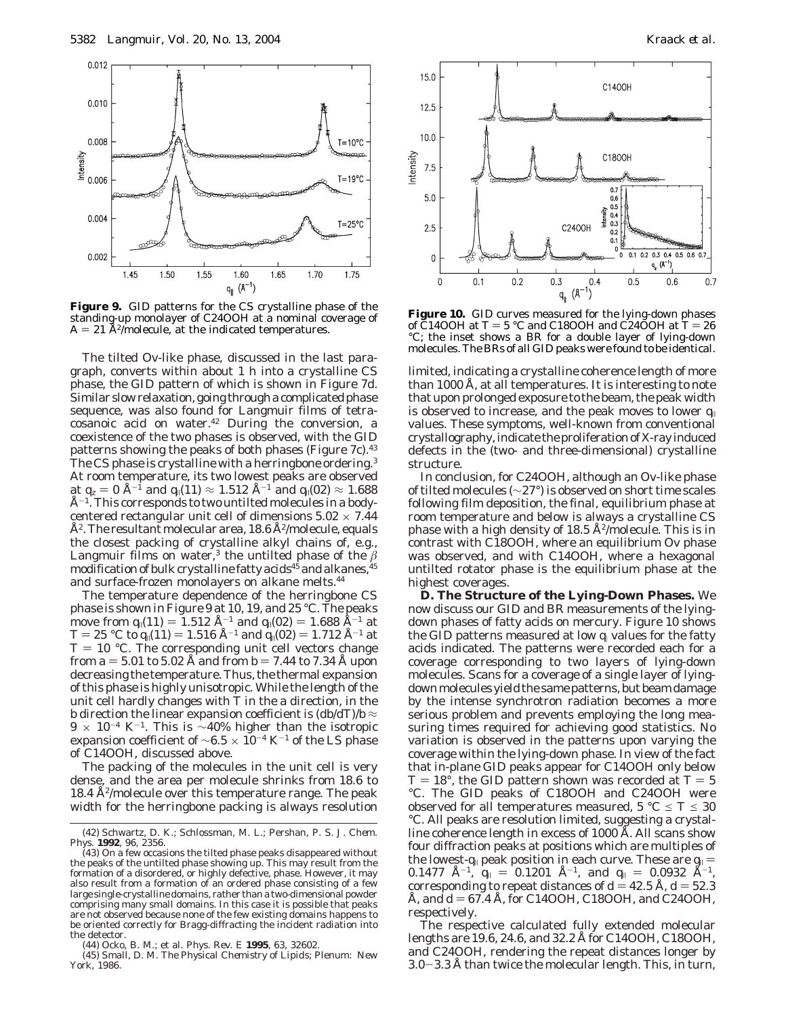

**Figure 9.** GID patterns for the CS crystalline phase of the standing-up monolayer of C24OOH at a nominal coverage of  $A = 21$  Å<sup>2</sup>/molecule, at the indicated temperatures.

The tilted Ov-like phase, discussed in the last paragraph, converts within about 1 h into a crystalline CS phase, the GID pattern of which is shown in Figure 7d. Similar slow relaxation, going through a complicated phase sequence, was also found for Langmuir films of tetracosanoic acid on water.42 During the conversion, a coexistence of the two phases is observed, with the GID patterns showing the peaks of both phases (Figure 7c).<sup>43</sup> The CS phase is crystalline with a herringbone ordering.<sup>3</sup> At room temperature, its two lowest peaks are observed at  $q_z = 0$  Å<sup>-1</sup> and  $q_{\parallel}(11) \approx 1.512$  Å<sup>-1</sup> and  $q_{\parallel}(02) \approx 1.688$  $A^{-1}$ . This corresponds to two untilted molecules in a bodycentered rectangular unit cell of dimensions  $5.02 \times 7.44$  $A<sup>2</sup>$ . The resultant molecular area, 18.6  $A<sup>2</sup>/molecule$ , equals the closest packing of crystalline alkyl chains of, e.g., Langmuir films on water,<sup>3</sup> the untilted phase of the  $\beta$ modification of bulk crystalline fatty acids<sup>45</sup> and alkanes, <sup>45</sup> and surface-frozen monolayers on alkane melts.<sup>44</sup>

The temperature dependence of the herringbone CS phase is shown in Figure 9 at 10, 19, and 25 °C. The peaks move from  $q_{\parallel}(11) = 1.512 \text{ Å}^{-1}$  and  $q_{\parallel}(02) = 1.688 \text{ Å}^{-1}$  at  $T = 25 \text{ °C}$  to  $q_{\parallel}(11) = 1.516 \text{ Å}^{-1}$  and  $q_{\parallel}(02) = 1.712 \text{ Å}^{-1}$  at  $T = 25$  °C to  $q_{\parallel}(11) = 1.516$  Å<sup>-1</sup> and  $q_{\parallel}(02) = 1.712$  Å<sup>-1</sup> at  $T = 10$  °C. The corresponding unit cell vectors change  $T = 10$  °C. The corresponding unit cell vectors change from  $a = 5.01$  to 5.02 Å and from  $b = 7.44$  to 7.34 Å upon decreasing the temperature. Thus, the thermal expansion of this phase is highly unisotropic. While the length of the unit cell hardly changes with *T* in the *a* direction, in the *b* direction the linear expansion coefficient is  $(d/dT)/b \approx$  $9 \times 10^{-4}$  K<sup>-1</sup>. This is ~40% higher than the isotropic expansion coefficient of  $~\sim 6.5 \times 10^{-4}$  K<sup>-1</sup> of the LS phase of C14OOH, discussed above.

The packing of the molecules in the unit cell is very dense, and the area per molecule shrinks from 18.6 to 18.4 Å2/molecule over this temperature range. The peak width for the herringbone packing is always resolution



**Figure 10.** GID curves measured for the lying-down phases of  $\text{C}14\text{OOH}$  at  $T = 5 \text{ }^{\circ}\text{C}$  and C18OOH and C24OOH at  $T = 26$ °C; the inset shows a BR for a double layer of lying-down molecules. The BRs of all GID peaks were found to be identical.

limited, indicating a crystalline coherence length of more than 1000 Å, at all temperatures. It is interesting to note that upon prolonged exposure to the beam, the peak width is observed to increase, and the peak moves to lower  $q_{\parallel}$ values. These symptoms, well-known from conventional crystallography, indicate the proliferation of X-ray induced defects in the (two- and three-dimensional) crystalline structure.

In conclusion, for C24OOH, although an Ov-like phase of tilted molecules (∼27°) is observed on short time scales following film deposition, the final, equilibrium phase at room temperature and below is always a crystalline CS phase with a high density of 18.5  $A^2$ /molecule. This is in contrast with C18OOH, where an equilibrium Ov phase was observed, and with C14OOH, where a hexagonal untilted rotator phase is the equilibrium phase at the highest coverages.

**D. The Structure of the Lying-Down Phases.** We now discuss our GID and BR measurements of the lyingdown phases of fatty acids on mercury. Figure 10 shows the GID patterns measured at low  $q_1$  values for the fatty acids indicated. The patterns were recorded each for a coverage corresponding to two layers of lying-down molecules. Scans for a coverage of a single layer of lyingdown molecules yield the same patterns, but beam damage by the intense synchrotron radiation becomes a more serious problem and prevents employing the long measuring times required for achieving good statistics. No variation is observed in the patterns upon varying the coverage within the lying-down phase. In view of the fact that in-plane GID peaks appear for C14OOH only below  $T = 18^\circ$ , the GID pattern shown was recorded at  $T = 5$ °C. The GID peaks of C18OOH and C24OOH were observed for all temperatures measured,  $5 \text{ }^{\circ}C \leq T \leq 30$ °C. All peaks are resolution limited, suggesting a crystalline coherence length in excess of 1000 Å. All scans show four diffraction peaks at positions which are multiples of the lowest-*q*<sub>|</sub> peak position in each curve. These are  $q_{\parallel} = 0.1477 \text{ \AA}^{-1}$   $q_{\perp} = 0.1201 \text{ \AA}^{-1}$  and  $q_{\perp} = 0.0932 \text{ \AA}^{-1}$  $0.1477$  Å<sup>-1</sup>,  $q_{\parallel} = 0.1201$  Å<sup>-1</sup>, and  $q_{\parallel} = 0.0932$  Å<sup>-1</sup>, corresponding to repeat distances of  $d = 42.5$  Å  $d = 52.3$ corresponding to repeat distances of  $d = 42.5$  Å,  $d = 52.3$ Å, and *<sup>d</sup>* ) 67.4 Å, for C14OOH, C18OOH, and C24OOH, respectively.

The respective calculated fully extended molecular lengths are 19.6, 24.6, and 32.2 Å for C14OOH, C18OOH, and C24OOH, rendering the repeat distances longer by 3.0-3.3 Å than twice the molecular length. This, in turn,

<sup>(42)</sup> Schwartz, D. K.; Schlossman, M. L.; Pershan, P. S. *J. Chem. Phys.* **1992**, *96*, 2356.

<sup>(43)</sup> On a few occasions the tilted phase peaks disappeared without the peaks of the untilted phase showing up. This may result from the formation of a disordered, or highly defective, phase. However, it may also result from a formation of an ordered phase consisting of a few large single-crystalline domains, rather than a two-dimensional powder comprising many small domains. In this case it is possible that peaks are not observed because none of the few existing domains happens to be oriented correctly for Bragg-diffracting the incident radiation into the detector.

<sup>(44)</sup> Ocko, B. M.; et al. *Phys. Rev. E* **1995**, *63*, 32602.

<sup>(45)</sup> Small, D. M. *The Physical Chemistry of Lipids*; Plenum: New York, 1986.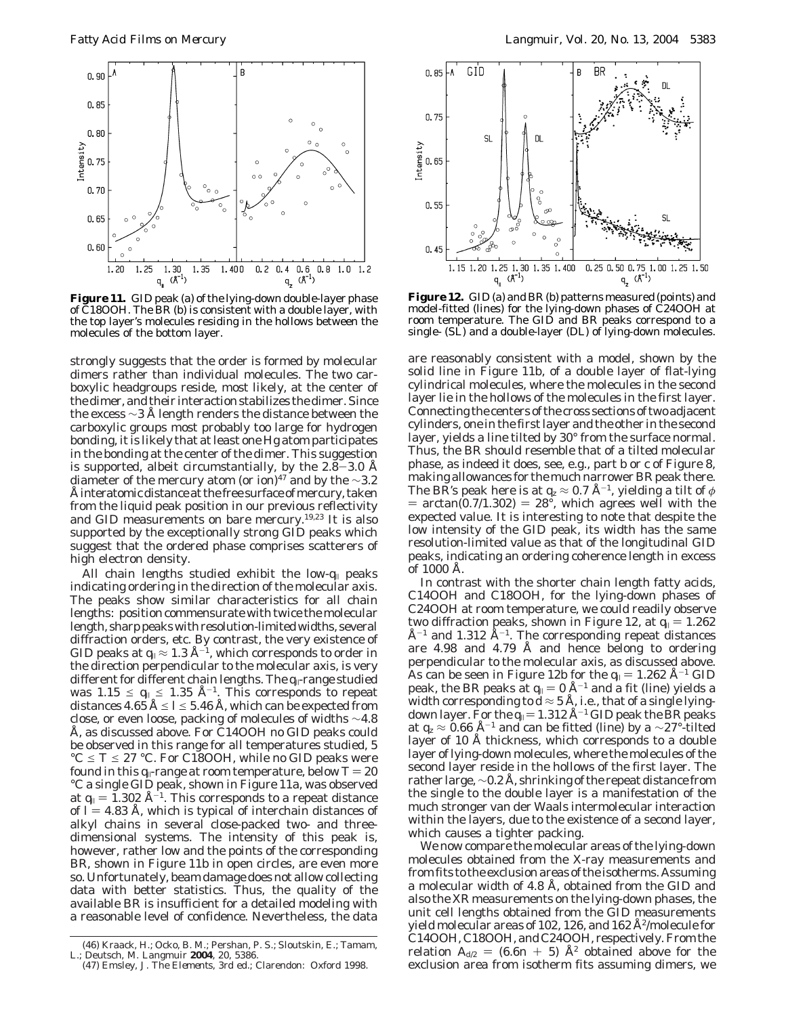

**Figure 11.** GID peak (a) of the lying-down double-layer phase of C18OOH. The BR (b) is consistent with a double layer, with the top layer's molecules residing in the hollows between the molecules of the bottom layer.

strongly suggests that the order is formed by molecular dimers rather than individual molecules. The two carboxylic headgroups reside, most likely, at the center of the dimer, and their interaction stabilizes the dimer. Since the excess  $\sim$ 3 Å length renders the distance between the carboxylic groups most probably too large for hydrogen bonding, it is likely that at least one Hg atom participates in the bonding at the center of the dimer. This suggestion is supported, albeit circumstantially, by the 2.8–3.0 Å diameter of the mercury atom (or ion)<sup>47</sup> and by the ∼3.2 Å interatomic distance at the free surface of mercury, taken from the liquid peak position in our previous reflectivity and GID measurements on bare mercury.19,23 It is also supported by the exceptionally strong GID peaks which suggest that the ordered phase comprises scatterers of high electron density.

All chain lengths studied exhibit the low-*q*<sup>|</sup> peaks indicating ordering in the direction of the molecular axis. The peaks show similar characteristics for all chain lengths: position commensurate with twice the molecular length, sharp peaks with resolution-limited widths, several diffraction orders, etc. By contrast, the very existence of GID peaks at  $q_{\parallel} \approx 1.3 \text{ Å}^{-1}$ , which corresponds to order in the direction perpendicular to the molecular axis, is very different for different chain lengths. The *q*|-range studied was  $1.15 \le q_{\parallel} \le 1.35 \text{ Å}^{-1}$ . This corresponds to repeat distances  $4.65 \text{ Å} \leq l \leq 5.46 \text{ Å}$ , which can be expected from close, or even loose, packing of molecules of widths  $\sim$ 4.8 Å, as discussed above. For C14OOH no GID peaks could be observed in this range for all temperatures studied, 5  $^{\circ}$ C  $\leq$  *T*  $\leq$  27  $^{\circ}$ C. For C18OOH, while no GID peaks were found in this  $q_{\parallel}$ -range at room temperature, below  $T = 20$ °C a single GID peak, shown in Figure 11a, was observed at  $q_{\parallel} = 1.302 \text{ Å}^{-1}$ . This corresponds to a repeat distance of  $\hat{l} = 4.83$  Å, which is typical of interchain distances of alkyl chains in several close-packed two- and threedimensional systems. The intensity of this peak is, however, rather low and the points of the corresponding BR, shown in Figure 11b in open circles, are even more so. Unfortunately, beam damage does not allow collecting data with better statistics. Thus, the quality of the available BR is insufficient for a detailed modeling with a reasonable level of confidence. Nevertheless, the data



**Figure 12.** GID (a) and BR (b) patterns measured (points) and model-fitted (lines) for the lying-down phases of C24OOH at room temperature. The GID and BR peaks correspond to a single- (SL) and a double-layer (DL) of lying-down molecules.

are reasonably consistent with a model, shown by the solid line in Figure 11b, of a double layer of flat-lying cylindrical molecules, where the molecules in the second layer lie in the hollows of the molecules in the first layer. Connecting the centers of the cross sections of two adjacent cylinders, one in the first layer and the other in the second layer, yields a line tilted by 30° from the surface normal. Thus, the BR should resemble that of a tilted molecular phase, as indeed it does, see, e.g., part b or c of Figure 8, making allowances for the much narrower BR peak there. The BR's peak here is at  $q_z \approx 0.7$  Å<sup>-1</sup>, yielding a tilt of  $\phi$  $=$  arctan(0.7/1.302)  $=$  28°, which agrees well with the expected value. It is interesting to note that despite the low intensity of the GID peak, its width has the same resolution-limited value as that of the longitudinal GID peaks, indicating an ordering coherence length in excess of 1000 Å.

In contrast with the shorter chain length fatty acids, C14OOH and C18OOH, for the lying-down phases of C24OOH at room temperature, we could readily observe two diffraction peaks, shown in Figure 12, at  $q_{\parallel} = 1.262$  $\rm \AA^{-1}$  and 1.312  $\rm \AA^{-1}$ . The corresponding repeat distances are 4.98 and 4.79 Å and hence belong to ordering perpendicular to the molecular axis, as discussed above. As can be seen in Figure 12b for the  $q_{\parallel} = 1.262 \text{ Å}^{-1}$  GID peak, the BR peaks at  $q_{\parallel} = 0$  Å<sup>-1</sup> and a fit (line) yields a width corresponding to  $d \approx 5$  Å, i.e., that of a single lyingdown layer. For the  $q_{\parallel} = 1.312 \text{ Å}^{-1}$  GID peak the BR peaks at  $q_z \approx 0.66$  Å<sup>-1</sup> and can be fitted (line) by a ∼27°-tilted layer of 10 Å thickness, which corresponds to a double layer of lying-down molecules, where the molecules of the second layer reside in the hollows of the first layer. The rather large, ∼0.2 Å, shrinking of the repeat distance from the single to the double layer is a manifestation of the much stronger van der Waals intermolecular interaction within the layers, due to the existence of a second layer, which causes a tighter packing.

We now compare the molecular areas of the lying-down molecules obtained from the X-ray measurements and from fits to the exclusion areas of the isotherms. Assuming a molecular width of 4.8 Å, obtained from the GID and also the XR measurements on the lying-down phases, the unit cell lengths obtained from the GID measurements yield molecular areas of 102, 126, and 162  $A<sup>2</sup>/molecule$  for C14OOH, C18OOH, and C24OOH, respectively. From the relation  $A_{d2} = (6.6n + 5)$  Å<sup>2</sup> obtained above for the exclusion area from isotherm fits assuming dimers, we

<sup>(46)</sup> Kraack, H.; Ocko, B. M.; Pershan, P. S.; Sloutskin, E.; Tamam, L.; Deutsch, M. *Langmuir* **2004**, *20*, 5386.

<sup>(47)</sup> Emsley, J. *The Elements*, 3rd ed.; Clarendon: Oxford 1998.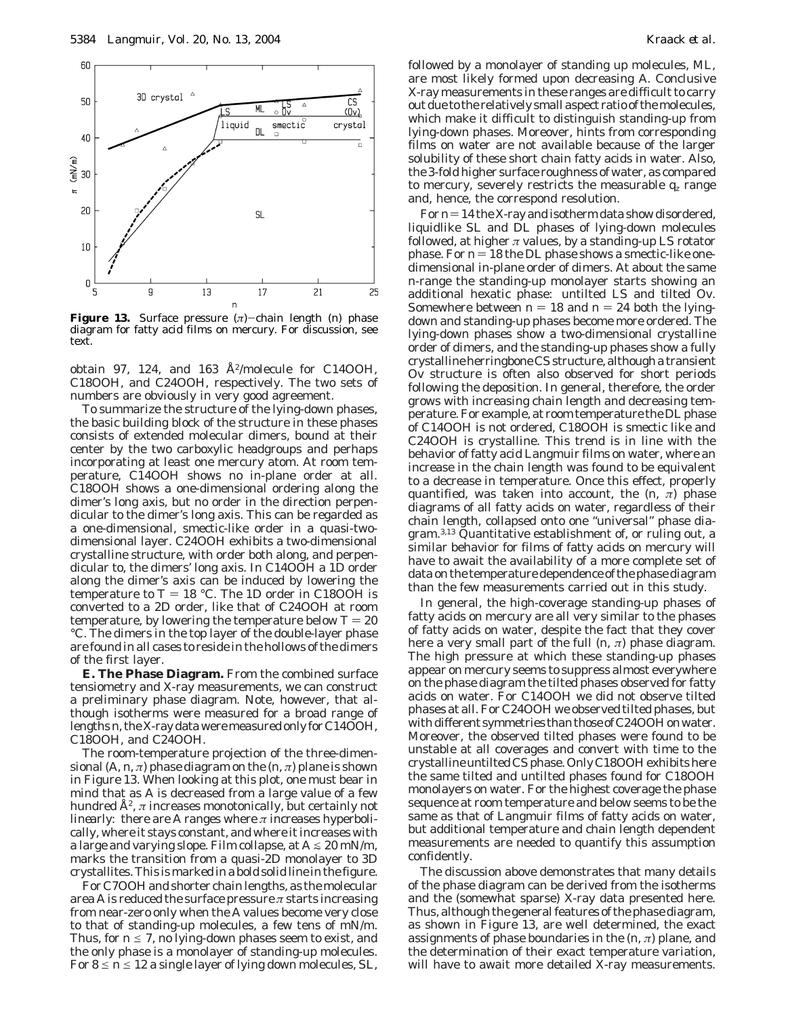

**Figure 13.** Surface pressure (*π*)-chain length (*n*) phase diagram for fatty acid films on mercury. For discussion, see text.

obtain 97, 124, and 163  $\AA^2$ /molecule for C14OOH, C18OOH, and C24OOH, respectively. The two sets of numbers are obviously in very good agreement.

To summarize the structure of the lying-down phases, the basic building block of the structure in these phases consists of extended molecular dimers, bound at their center by the two carboxylic headgroups and perhaps incorporating at least one mercury atom. At room temperature, C14OOH shows no in-plane order at all. C18OOH shows a one-dimensional ordering along the dimer's long axis, but no order in the direction perpendicular to the dimer's long axis. This can be regarded as a one-dimensional, smectic-like order in a quasi-twodimensional layer. C24OOH exhibits a two-dimensional crystalline structure, with order both along, and perpendicular to, the dimers' long axis. In C14OOH a 1D order along the dimer's axis can be induced by lowering the temperature to  $T = 18$  °C. The 1D order in C18OOH is converted to a 2D order, like that of C24OOH at room temperature, by lowering the temperature below  $T = 20$ °C. The dimers in the top layer of the double-layer phase are found in all cases to reside in the hollows of the dimers of the first layer.

**E. The Phase Diagram.** From the combined surface tensiometry and X-ray measurements, we can construct a preliminary phase diagram. Note, however, that although isotherms were measured for a broad range of lengths*n*, the X-ray data were measured only for C14OOH, C18OOH, and C24OOH.

The room-temperature projection of the three-dimensional  $(A, n, \pi)$  phase diagram on the  $(n, \pi)$  plane is shown in Figure 13. When looking at this plot, one must bear in mind that as *A* is decreased from a large value of a few hundred Å2, *π* increases monotonically, but certainly *not linearly*: there are *A* ranges where  $\pi$  increases hyperbolically, where it stays constant, and where it increases with a large and varying slope. Film collapse, at  $A \le 20$  mN/m, marks the transition from a quasi-2D monolayer to 3D crystallites. This is marked in a bold solid line in the figure.

For C7OOH and shorter chain lengths, as the molecular area *A* is reduced the surface pressure *π* starts increasing from near-zero only when the *A* values become very close to that of standing-up molecules, a few tens of mN/m. Thus, for  $n \le 7$ , no lying-down phases seem to exist, and the only phase is a monolayer of standing-up molecules. For  $8 \le n \le 12$  a single layer of lying down molecules, SL,

followed by a monolayer of standing up molecules, ML, are most likely formed upon decreasing *A*. Conclusive X-ray measurements in these ranges are difficult to carry out due to the relatively small aspect ratio of the molecules, which make it difficult to distinguish standing-up from lying-down phases. Moreover, hints from corresponding films on water are not available because of the larger solubility of these short chain fatty acids in water. Also, the 3-fold higher surface roughness of water, as compared to mercury, severely restricts the measurable  $q_z$  range and, hence, the correspond resolution.

For  $n=14$  the X-ray and isotherm data show disordered, liquidlike SL and DL phases of lying-down molecules followed, at higher  $\pi$  values, by a standing-up LS rotator phase. For  $n = 18$  the DL phase shows a smectic-like onedimensional in-plane order of dimers. At about the same *n*-range the standing-up monolayer starts showing an additional hexatic phase: untilted LS and tilted Ov. Somewhere between  $n = 18$  and  $n = 24$  both the lyingdown and standing-up phases become more ordered. The lying-down phases show a two-dimensional crystalline order of dimers, and the standing-up phases show a fully crystalline herringbone CS structure, although a transient Ov structure is often also observed for short periods following the deposition. In general, therefore, the order grows with increasing chain length and decreasing temperature. For example, at room temperature the DL phase of C14OOH is not ordered, C18OOH is smectic like and C24OOH is crystalline. This trend is in line with the behavior of fatty acid Langmuir films on water, where an increase in the chain length was found to be equivalent to a decrease in temperature. Once this effect, properly quantified, was taken into account, the  $(n, \pi)$  phase diagrams of all fatty acids on water, regardless of their chain length, collapsed onto one "universal" phase diagram.3,13 Quantitative establishment of, or ruling out, a similar behavior for films of fatty acids on mercury will have to await the availability of a more complete set of data on the temperature dependence of the phase diagram than the few measurements carried out in this study.

In general, the high-coverage standing-up phases of fatty acids on mercury are all very similar to the phases of fatty acids on water, despite the fact that they cover here a very small part of the full  $(n, \pi)$  phase diagram. The high pressure at which these standing-up phases appear on mercury seems to suppress almost everywhere on the phase diagram the tilted phases observed for fatty acids on water. For C14OOH we did not observe tilted phases at all. For C24OOH we observed tilted phases, but with different symmetries than those of C24OOH on water. Moreover, the observed tilted phases were found to be unstable at all coverages and convert with time to the crystalline untilted CS phase. Only C18OOH exhibits here the same tilted and untilted phases found for C18OOH monolayers on water. For the highest coverage the phase sequence at room temperature and below seems to be the same as that of Langmuir films of fatty acids on water, but additional temperature and chain length dependent measurements are needed to quantify this assumption confidently.

The discussion above demonstrates that many details of the phase diagram can be derived from the isotherms and the (somewhat sparse) X-ray data presented here. Thus, although the general features of the phase diagram, as shown in Figure 13, are well determined, the exact assignments of phase boundaries in the (*n*, *π*) plane, and the determination of their exact temperature variation, will have to await more detailed X-ray measurements.